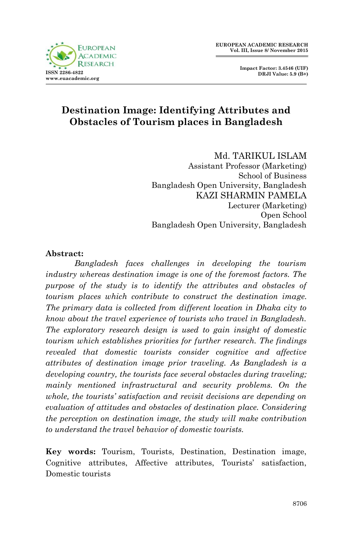



# **Destination Image: Identifying Attributes and Obstacles of Tourism places in Bangladesh**

Md. TARIKUL ISLAM

Assistant Professor (Marketing) School of Business Bangladesh Open University, Bangladesh KAZI SHARMIN PAMELA Lecturer (Marketing) Open School Bangladesh Open University, Bangladesh

#### **Abstract:**

*Bangladesh faces challenges in developing the tourism industry whereas destination image is one of the foremost factors. The purpose of the study is to identify the attributes and obstacles of tourism places which contribute to construct the destination image. The primary data is collected from different location in Dhaka city to know about the travel experience of tourists who travel in Bangladesh. The exploratory research design is used to gain insight of domestic tourism which establishes priorities for further research. The findings revealed that domestic tourists consider cognitive and affective attributes of destination image prior traveling. As Bangladesh is a developing country, the tourists face several obstacles during traveling; mainly mentioned infrastructural and security problems. On the whole, the tourists' satisfaction and revisit decisions are depending on evaluation of attitudes and obstacles of destination place. Considering the perception on destination image, the study will make contribution to understand the travel behavior of domestic tourists.* 

**Key words:** Tourism, Tourists, Destination, Destination image, Cognitive attributes, Affective attributes, Tourists' satisfaction, Domestic tourists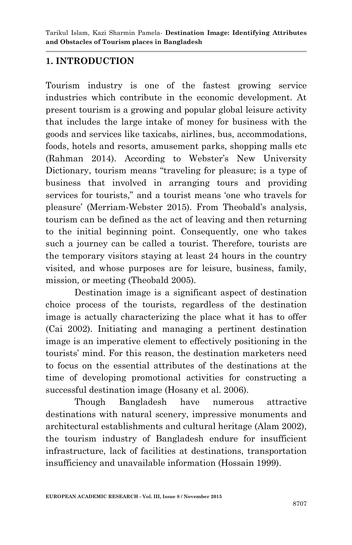## **1. INTRODUCTION**

Tourism industry is one of the fastest growing service industries which contribute in the economic development. At present tourism is a growing and popular global leisure activity that includes the large intake of money for business with the goods and services like taxicabs, airlines, bus, accommodations, foods, hotels and resorts, amusement parks, shopping malls etc (Rahman 2014). According to Webster's New University Dictionary, tourism means "traveling for pleasure; is a type of business that involved in arranging tours and providing services for tourists," and a tourist means "one who travels for pleasure" (Merriam-Webster 2015). From Theobald"s analysis, tourism can be defined as the act of leaving and then returning to the initial beginning point. Consequently, one who takes such a journey can be called a tourist. Therefore, tourists are the temporary visitors staying at least 24 hours in the country visited, and whose purposes are for leisure, business, family, mission, or meeting (Theobald 2005).

Destination image is a significant aspect of destination choice process of the tourists, regardless of the destination image is actually characterizing the place what it has to offer (Cai 2002). Initiating and managing a pertinent destination image is an imperative element to effectively positioning in the tourists" mind. For this reason, the destination marketers need to focus on the essential attributes of the destinations at the time of developing promotional activities for constructing a successful destination image (Hosany et al. 2006).

Though Bangladesh have numerous attractive destinations with natural scenery, impressive monuments and architectural establishments and cultural heritage (Alam 2002), the tourism industry of Bangladesh endure for insufficient infrastructure, lack of facilities at destinations, transportation insufficiency and unavailable information (Hossain 1999).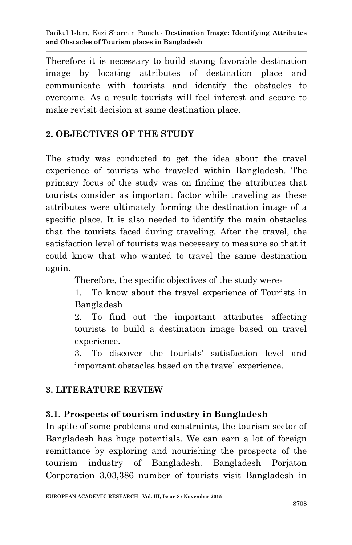Therefore it is necessary to build strong favorable destination image by locating attributes of destination place and communicate with tourists and identify the obstacles to overcome. As a result tourists will feel interest and secure to make revisit decision at same destination place.

# **2. OBJECTIVES OF THE STUDY**

The study was conducted to get the idea about the travel experience of tourists who traveled within Bangladesh. The primary focus of the study was on finding the attributes that tourists consider as important factor while traveling as these attributes were ultimately forming the destination image of a specific place. It is also needed to identify the main obstacles that the tourists faced during traveling. After the travel, the satisfaction level of tourists was necessary to measure so that it could know that who wanted to travel the same destination again.

Therefore, the specific objectives of the study were-

1. To know about the travel experience of Tourists in Bangladesh

2. To find out the important attributes affecting tourists to build a destination image based on travel experience.

3. To discover the tourists" satisfaction level and important obstacles based on the travel experience.

## **3. LITERATURE REVIEW**

## **3.1. Prospects of tourism industry in Bangladesh**

In spite of some problems and constraints, the tourism sector of Bangladesh has huge potentials. We can earn a lot of foreign remittance by exploring and nourishing the prospects of the tourism industry of Bangladesh. Bangladesh Porjaton Corporation 3,03,386 number of tourists visit Bangladesh in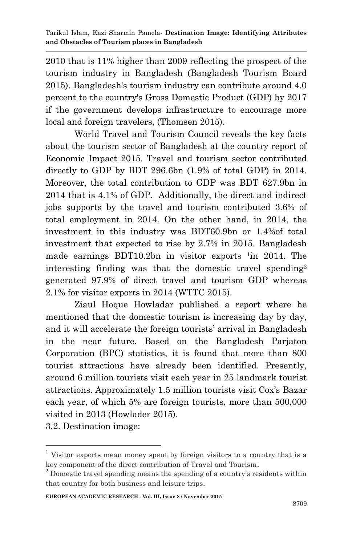2010 that is 11% higher than 2009 reflecting the prospect of the tourism industry in Bangladesh (Bangladesh Tourism Board 2015). Bangladesh's tourism industry can contribute around 4.0 percent to the country's Gross Domestic Product (GDP) by 2017 if the government develops infrastructure to encourage more local and foreign travelers, (Thomsen 2015).

World Travel and Tourism Council reveals the key facts about the tourism sector of Bangladesh at the country report of Economic Impact 2015. Travel and tourism sector contributed directly to GDP by BDT 296.6bn (1.9% of total GDP) in 2014. Moreover, the total contribution to GDP was BDT 627.9bn in 2014 that is 4.1% of GDP. Additionally, the direct and indirect jobs supports by the travel and tourism contributed 3.6% of total employment in 2014. On the other hand, in 2014, the investment in this industry was BDT60.9bn or 1.4%of total investment that expected to rise by 2.7% in 2015. Bangladesh made earnings BDT10.2bn in visitor exports <sup>1</sup>in 2014. The interesting finding was that the domestic travel spending<sup>2</sup> generated 97.9% of direct travel and tourism GDP whereas 2.1% for visitor exports in 2014 (WTTC 2015).

Ziaul Hoque Howladar published a report where he mentioned that the domestic tourism is increasing day by day, and it will accelerate the foreign tourists' arrival in Bangladesh in the near future. Based on the Bangladesh Parjaton Corporation (BPC) statistics, it is found that more than 800 tourist attractions have already been identified. Presently, around 6 million tourists visit each year in 25 landmark tourist attractions. Approximately 1.5 million tourists visit Cox"s Bazar each year, of which 5% are foreign tourists, more than 500,000 visited in 2013 (Howlader 2015).

3.2. Destination image:

1

<sup>1</sup> Visitor exports mean money spent by foreign visitors to a country that is a key component of the direct contribution of Travel and Tourism.

 $2$  Domestic travel spending means the spending of a country's residents within that country for both business and leisure trips.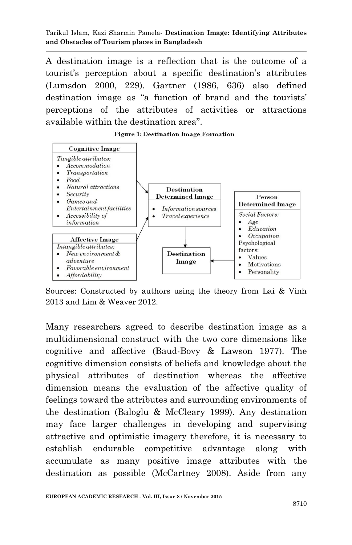A destination image is a reflection that is the outcome of a tourist"s perception about a specific destination"s attributes (Lumsdon 2000, 229). Gartner (1986, 636) also defined destination image as "a function of brand and the tourists' perceptions of the attributes of activities or attractions available within the destination area".

**Figure 1: Destination Image Formation** 



Sources: Constructed by authors using the theory from Lai & Vinh 2013 and Lim & Weaver 2012.

Many researchers agreed to describe destination image as a multidimensional construct with the two core dimensions like cognitive and affective (Baud-Bovy & Lawson 1977). The cognitive dimension consists of beliefs and knowledge about the physical attributes of destination whereas the affective dimension means the evaluation of the affective quality of feelings toward the attributes and surrounding environments of the destination (Baloglu & McCleary 1999). Any destination may face larger challenges in developing and supervising attractive and optimistic imagery therefore, it is necessary to establish endurable competitive advantage along with accumulate as many positive image attributes with the destination as possible (McCartney 2008). Aside from any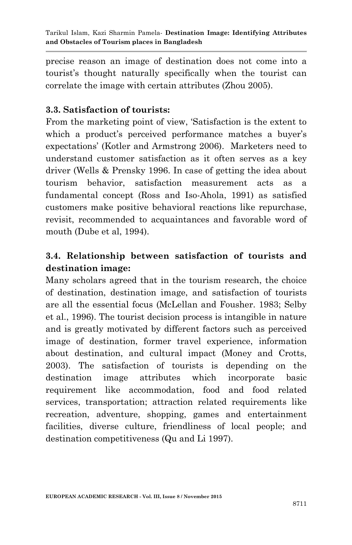precise reason an image of destination does not come into a tourist"s thought naturally specifically when the tourist can correlate the image with certain attributes (Zhou 2005).

## **3.3. Satisfaction of tourists:**

From the marketing point of view, "Satisfaction is the extent to which a product's perceived performance matches a buyer's expectations" (Kotler and Armstrong 2006). Marketers need to understand customer satisfaction as it often serves as a key driver (Wells & Prensky 1996. In case of getting the idea about tourism behavior, satisfaction measurement acts as a fundamental concept (Ross and Iso-Ahola, 1991) as satisfied customers make positive behavioral reactions like repurchase, revisit, recommended to acquaintances and favorable word of mouth (Dube et al, 1994).

# **3.4. Relationship between satisfaction of tourists and destination image:**

Many scholars agreed that in the tourism research, the choice of destination, destination image, and satisfaction of tourists are all the essential focus (McLellan and Fousher. 1983; Selby et al., 1996). The tourist decision process is intangible in nature and is greatly motivated by different factors such as perceived image of destination, former travel experience, information about destination, and cultural impact (Money and Crotts, 2003). The satisfaction of tourists is depending on the destination image attributes which incorporate basic requirement like accommodation, food and food related services, transportation; attraction related requirements like recreation, adventure, shopping, games and entertainment facilities, diverse culture, friendliness of local people; and destination competitiveness (Qu and Li 1997).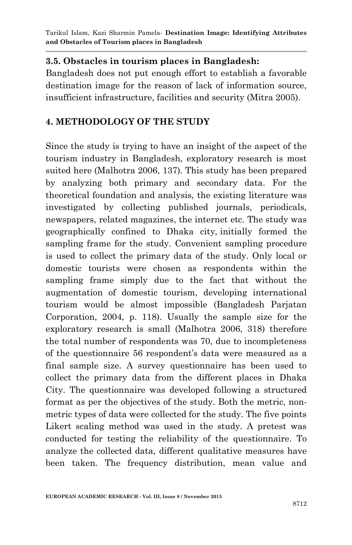### **3.5. Obstacles in tourism places in Bangladesh:**

Bangladesh does not put enough effort to establish a favorable destination image for the reason of lack of information source, insufficient infrastructure, facilities and security (Mitra 2005).

### **4. METHODOLOGY OF THE STUDY**

Since the study is trying to have an insight of the aspect of the tourism industry in Bangladesh, exploratory research is most suited here (Malhotra 2006, 137). This study has been prepared by analyzing both primary and secondary data. For the theoretical foundation and analysis, the existing literature was investigated by collecting published journals, periodicals, newspapers, related magazines, the internet etc. The study was geographically confined to Dhaka city, initially formed the sampling frame for the study. Convenient sampling procedure is used to collect the primary data of the study. Only local or domestic tourists were chosen as respondents within the sampling frame simply due to the fact that without the augmentation of domestic tourism, developing international tourism would be almost impossible (Bangladesh Parjatan Corporation, 2004, p. 118). Usually the sample size for the exploratory research is small (Malhotra 2006, 318) therefore the total number of respondents was 70, due to incompleteness of the questionnaire 56 respondent's data were measured as a final sample size. A survey questionnaire has been used to collect the primary data from the different places in Dhaka City. The questionnaire was developed following a structured format as per the objectives of the study. Both the metric, nonmetric types of data were collected for the study. The five points Likert scaling method was used in the study. A pretest was conducted for testing the reliability of the questionnaire. To analyze the collected data, different qualitative measures have been taken. The frequency distribution, mean value and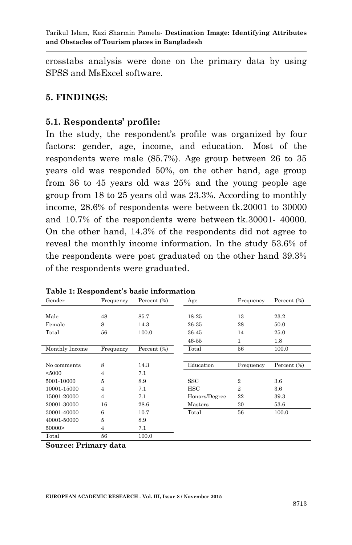crosstabs analysis were done on the primary data by using SPSS and MsExcel software.

### **5. FINDINGS:**

#### **5.1. Respondents' profile:**

In the study, the respondent's profile was organized by four factors: gender, age, income, and education. Most of the respondents were male (85.7%). Age group between 26 to 35 years old was responded 50%, on the other hand, age group from 36 to 45 years old was 25% and the young people age group from 18 to 25 years old was 23.3%. According to monthly income, 28.6% of respondents were between tk.20001 to 30000 and 10.7% of the respondents were between tk.30001- 40000. On the other hand, 14.3% of the respondents did not agree to reveal the monthly income information. In the study 53.6% of the respondents were post graduated on the other hand 39.3% of the respondents were graduated.

| Gender         | Frequency      | Percent $(\% )$ | Age           | Frequency      | Percent (%) |
|----------------|----------------|-----------------|---------------|----------------|-------------|
|                |                |                 |               |                |             |
| Male           | 48             | 85.7            | 18-25         | 13             | 23.2        |
| Female         | 8              | 14.3            | 26-35         | 28             | 50.0        |
| Total          | 56             | 100.0           | 36-45         | 14             | 25.0        |
|                |                |                 | 46-55         | 1              | 1.8         |
| Monthly Income | Frequency      | Percent (%)     | Total         | 56             | 100.0       |
|                |                |                 |               |                |             |
| No comments    | 8              | 14.3            | Education     | Frequency      | Percent (%) |
| < 5000         | $\overline{4}$ | 7.1             |               |                |             |
| 5001-10000     | 5              | 8.9             | SSC           | $\overline{2}$ | 3.6         |
| 10001-15000    | $\overline{4}$ | 7.1             | <b>HSC</b>    | $\overline{2}$ | 3.6         |
| 15001-20000    | $\overline{4}$ | 7.1             | Honors/Degree | 22             | 39.3        |
| 20001-30000    | 16             | 28.6            | Masters       | 30             | 53.6        |
| 30001-40000    | 6              | 10.7            | Total         | 56             | 100.0       |
| 40001-50000    | 5              | 8.9             |               |                |             |
| 50000          | $\overline{4}$ | 7.1             |               |                |             |
| Total          | 56             | 100.0           |               |                |             |

|  |  |  |  |  | Table 1: Respondent's basic information |  |
|--|--|--|--|--|-----------------------------------------|--|
|--|--|--|--|--|-----------------------------------------|--|

**Source: Primary data**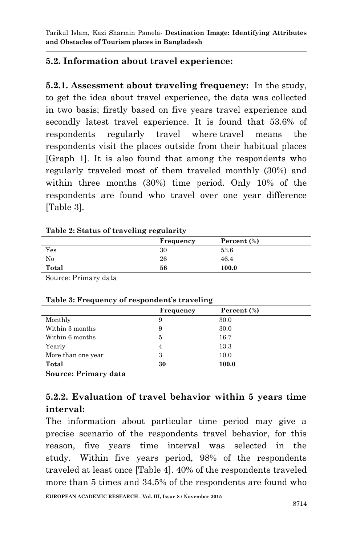## **5.2. Information about travel experience:**

**5.2.1. Assessment about traveling frequency:** In the study, to get the idea about travel experience, the data was collected in two basis; firstly based on five years travel experience and secondly latest travel experience. It is found that 53.6% of respondents regularly travel where travel means the respondents visit the places outside from their habitual places [Graph 1]. It is also found that among the respondents who regularly traveled most of them traveled monthly (30%) and within three months (30%) time period. Only 10% of the respondents are found who travel over one year difference [Table 3].

#### **Table 2: Status of traveling regularity**

|       | Frequency | Percent $(\%)$ |  |
|-------|-----------|----------------|--|
| Yes   | 30        | 53.6           |  |
| No    | 26        | 46.4           |  |
| Total | 56        | 100.0          |  |

Source: Primary data

| Table of Trequency of respondence traveling |                |                |  |
|---------------------------------------------|----------------|----------------|--|
|                                             | Frequency      | Percent $(\%)$ |  |
| Monthly                                     | 9              | 30.0           |  |
| Within 3 months                             | 9              | 30.0           |  |
| Within 6 months                             | 5              | 16.7           |  |
| Yearly                                      | $\overline{4}$ | 13.3           |  |
| More than one year                          | 3              | 10.0           |  |
| Total                                       | 30             | 100.0          |  |

#### **Table 3: Frequency of respondent's traveling**

**Source: Primary data**

## **5.2.2. Evaluation of travel behavior within 5 years time interval:**

The information about particular time period may give a precise scenario of the respondents travel behavior, for this reason, five years time interval was selected in the study. Within five years period, 98% of the respondents traveled at least once [Table 4]. 40% of the respondents traveled more than 5 times and 34.5% of the respondents are found who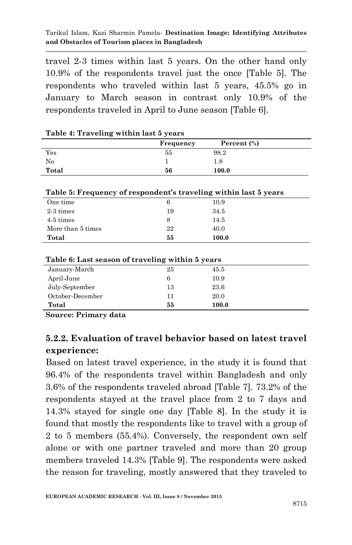travel 2-3 times within last 5 years. On the other hand only 10.9% of the respondents travel just the once [Table 5]. The respondents who traveled within last 5 years, 45.5% go in January to March season in contrast only 10.9% of the respondents traveled in April to June season [Table 6].

|                                                                   | Frequency | Percent (%) |
|-------------------------------------------------------------------|-----------|-------------|
| Yes                                                               | 55        | 98.2        |
| $\rm No$                                                          | 1         | 1.8         |
| Total                                                             | 56        | 100.0       |
| Table 5: Frequency of respondent's traveling within last 5 years  |           |             |
| One time                                                          | 6         | 10.9        |
| 2-3 times                                                         | 19        | 34.5        |
| $4-5$ times                                                       | 8         | 14.5        |
| More than 5 times                                                 | 22        | 40.0        |
| Total                                                             | 55        | 100.0       |
| Table 6: Last season of traveling within 5 years<br>January-March | 25        | 45.5        |
|                                                                   |           |             |
| April-June                                                        | 6         | 10.9        |
| July-September                                                    | 13        | 23.6        |
| October-December                                                  | 11        | 20.0        |

| Table 4: Traveling within last 5 years |  |  |
|----------------------------------------|--|--|
|                                        |  |  |

# **5.2.2. Evaluation of travel behavior based on latest travel experience:**

Based on latest travel experience, in the study it is found that 96.4% of the respondents travel within Bangladesh and only 3.6% of the respondents traveled abroad [Table 7]. 73.2% of the respondents stayed at the travel place from 2 to 7 days and 14.3% stayed for single one day [Table 8]. In the study it is found that mostly the respondents like to travel with a group of 2 to 5 members (55.4%). Conversely, the respondent own self alone or with one partner traveled and more than 20 group members traveled 14.3% [Table 9]. The respondents were asked the reason for traveling, mostly answered that they traveled to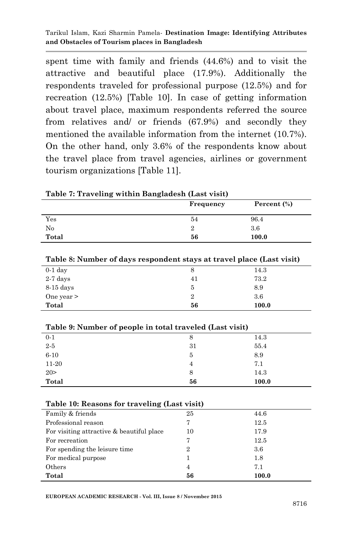spent time with family and friends (44.6%) and to visit the attractive and beautiful place (17.9%). Additionally the respondents traveled for professional purpose (12.5%) and for recreation (12.5%) [Table 10]. In case of getting information about travel place, maximum respondents referred the source from relatives and/ or friends (67.9%) and secondly they mentioned the available information from the internet (10.7%). On the other hand, only 3.6% of the respondents know about the travel place from travel agencies, airlines or government tourism organizations [Table 11].

|                                                                       | Frequency      | Percent (%) |
|-----------------------------------------------------------------------|----------------|-------------|
| Yes                                                                   | 54             | 96.4        |
| No                                                                    | $\overline{2}$ | 3.6         |
| Total                                                                 | 56             | 100.0       |
|                                                                       |                |             |
| Table 8: Number of days respondent stays at travel place (Last visit) |                |             |
| $0-1$ day                                                             | 8              | 14.3        |
| $2-7$ days                                                            | 41             | 73.2        |
| $8-15$ days                                                           | 5              | 8.9         |
| One year $>$                                                          | $\overline{2}$ | 3.6         |
| Total                                                                 | 56             | 100.0       |
|                                                                       |                |             |
| Table 9: Number of people in total traveled (Last visit)              |                |             |
| $0 - 1$                                                               | 8              | 14.3        |
| $2-5$                                                                 | 31             | 55.4        |
| $6 - 10$                                                              | 5              | 8.9         |
| 11-20                                                                 | $\overline{4}$ | 7.1         |
| 20 >                                                                  | 8              | 14.3        |
| Total                                                                 | 56             | 100.0       |
|                                                                       |                |             |
| Table 10: Reasons for traveling (Last visit)                          |                |             |
| Family & friends                                                      | 25             | 44.6        |
| Professional reason                                                   | 7              | 12.5        |
| For visiting attractive & beautiful place                             | 10             | 17.9        |
| For recreation                                                        | 7              | 12.5        |
| For spending the leisure time                                         | $\overline{2}$ | 3.6         |
| For medical purpose                                                   | 1              | 1.8         |
| Others                                                                | $\overline{4}$ | 7.1         |
| Total                                                                 | 56             | 100.0       |

**Table 7: Traveling within Bangladesh (Last visit)**

**EUROPEAN ACADEMIC RESEARCH - Vol. III, Issue 8 / November 2015**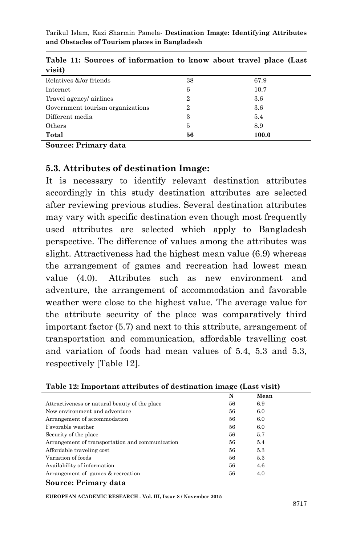| visit)                           |                |       |
|----------------------------------|----------------|-------|
| Relatives &/or friends           | 38             | 67.9  |
| Internet                         | 6              | 10.7  |
| Travel agency/ airlines          | $\overline{2}$ | 3.6   |
| Government tourism organizations | $\overline{2}$ | 3.6   |
| Different media                  | 3              | 5.4   |
| Others                           | 5              | 8.9   |
| Total                            | 56             | 100.0 |

**Table 11: Sources of information to know about travel place (Last** 

**Source: Primary data**

## **5.3. Attributes of destination Image:**

It is necessary to identify relevant destination attributes accordingly in this study destination attributes are selected after reviewing previous studies. Several destination attributes may vary with specific destination even though most frequently used attributes are selected which apply to Bangladesh perspective. The difference of values among the attributes was slight. Attractiveness had the highest mean value (6.9) whereas the arrangement of games and recreation had lowest mean value (4.0). Attributes such as new environment and adventure, the arrangement of accommodation and favorable weather were close to the highest value. The average value for the attribute security of the place was comparatively third important factor (5.7) and next to this attribute, arrangement of transportation and communication, affordable travelling cost and variation of foods had mean values of 5.4, 5.3 and 5.3, respectively [Table 12].

|                                                 | N  | Mean |
|-------------------------------------------------|----|------|
| Attractiveness or natural beauty of the place   | 56 | 6.9  |
| New environment and adventure                   | 56 | 6.0  |
| Arrangement of accommodation                    | 56 | 6.0  |
| Favorable weather                               | 56 | 6.0  |
| Security of the place                           | 56 | 5.7  |
| Arrangement of transportation and communication | 56 | 5.4  |
| Affordable traveling cost                       | 56 | 5.3  |
| Variation of foods                              | 56 | 5.3  |
| Availability of information                     | 56 | 4.6  |
| Arrangement of games & recreation               | 56 | 4.0  |

#### **Table 12: Important attributes of destination image (Last visit)**

#### **Source: Primary data**

**EUROPEAN ACADEMIC RESEARCH - Vol. III, Issue 8 / November 2015**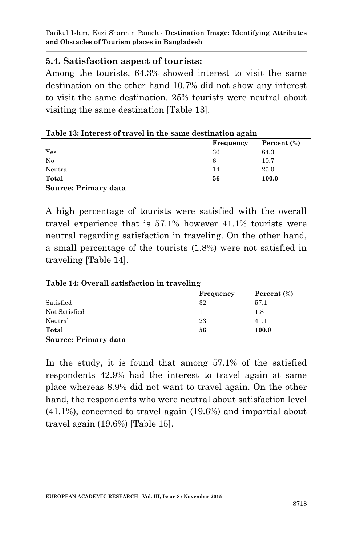## **5.4. Satisfaction aspect of tourists:**

Among the tourists, 64.3% showed interest to visit the same destination on the other hand 10.7% did not show any interest to visit the same destination. 25% tourists were neutral about visiting the same destination [Table 13].

| Table 13: Interest of travel in the same destination again |  |
|------------------------------------------------------------|--|
|------------------------------------------------------------|--|

|                      | Frequency | Percent $(\%)$ |
|----------------------|-----------|----------------|
| Yes                  | 36        | 64.3           |
| No                   | 6         | 10.7           |
| Neutral              | 14        | 25.0           |
| Total                | 56        | 100.0          |
| Source: Primary data |           |                |

A high percentage of tourists were satisfied with the overall travel experience that is 57.1% however 41.1% tourists were neutral regarding satisfaction in traveling. On the other hand, a small percentage of the tourists (1.8%) were not satisfied in

traveling [Table 14].

**Table 14: Overall satisfaction in traveling**

|               | Frequency | Percent $(\%)$ |
|---------------|-----------|----------------|
| Satisfied     | 32        | 57.1           |
| Not Satisfied |           | 1.8            |
| Neutral       | 23        | 41.1           |
| Total         | 56        | 100.0          |
|               |           |                |

**Source: Primary data**

In the study, it is found that among 57.1% of the satisfied respondents 42.9% had the interest to travel again at same place whereas 8.9% did not want to travel again. On the other hand, the respondents who were neutral about satisfaction level (41.1%), concerned to travel again (19.6%) and impartial about travel again (19.6%) [Table 15].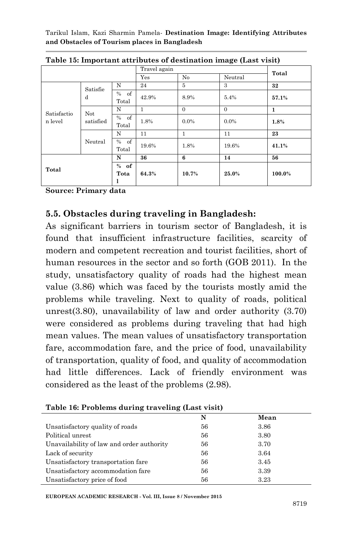|                        |                         |               | Travel again |                |          | Total  |  |  |
|------------------------|-------------------------|---------------|--------------|----------------|----------|--------|--|--|
|                        |                         | Yes           | No           | Neutral        |          |        |  |  |
| Satisfactio<br>n level | Satisfie<br>d           | N             | 24           | $\overline{5}$ | 3        | 32     |  |  |
|                        |                         | % of<br>Total | 42.9%        | 8.9%           | 5.4%     | 57.1%  |  |  |
|                        | <b>Not</b><br>satisfied | N             | $\mathbf{1}$ | $\Omega$       | $\Omega$ | 1      |  |  |
|                        |                         | % of<br>Total | 1.8%         | $0.0\%$        | $0.0\%$  | 1.8%   |  |  |
|                        | Neutral                 | N             | 11           | $\mathbf{1}$   | 11       | 23     |  |  |
|                        |                         | % of<br>Total | 19.6%        | 1.8%           | 19.6%    | 41.1%  |  |  |
| Total                  |                         | N             | 36           | 6              | 14       | 56     |  |  |
|                        |                         | % of<br>Tota  | 64.3%        | 10.7%          | 25.0%    | 100.0% |  |  |

**Table 15: Important attributes of destination image (Last visit)**

**Source: Primary data**

## **5.5. Obstacles during traveling in Bangladesh:**

As significant barriers in tourism sector of Bangladesh, it is found that insufficient infrastructure facilities, scarcity of modern and competent recreation and tourist facilities, short of human resources in the sector and so forth (GOB 2011). In the study, unsatisfactory quality of roads had the highest mean value (3.86) which was faced by the tourists mostly amid the problems while traveling. Next to quality of roads, political unrest(3.80), unavailability of law and order authority (3.70) were considered as problems during traveling that had high mean values. The mean values of unsatisfactory transportation fare, accommodation fare, and the price of food, unavailability of transportation, quality of food, and quality of accommodation had little differences. Lack of friendly environment was considered as the least of the problems (2.98).

|                                           | N  | Mean |
|-------------------------------------------|----|------|
| Unsatisfactory quality of roads           | 56 | 3.86 |
| Political unrest                          | 56 | 3.80 |
| Unavailability of law and order authority | 56 | 3.70 |
| Lack of security                          | 56 | 3.64 |
| Unsatisfactory transportation fare        | 56 | 3.45 |
| Unsatisfactory accommodation fare         | 56 | 3.39 |
| Unsatisfactory price of food              | 56 | 3.23 |

| Table 16: Problems during traveling (Last visit) |  |
|--------------------------------------------------|--|
|--------------------------------------------------|--|

**EUROPEAN ACADEMIC RESEARCH - Vol. III, Issue 8 / November 2015**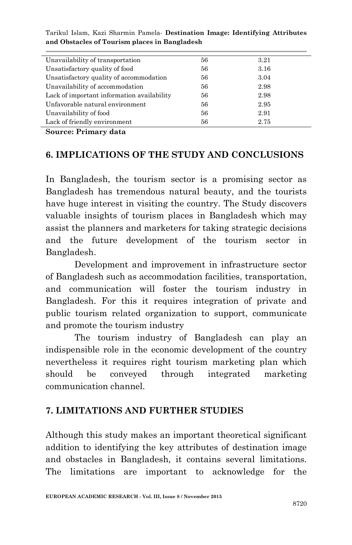| Unavailability of transportation           | 56 | 3.21 |
|--------------------------------------------|----|------|
| Unsatisfactory quality of food             | 56 | 3.16 |
| Unsatisfactory quality of accommodation    | 56 | 3.04 |
| Unavailability of accommodation            | 56 | 2.98 |
| Lack of important information availability | 56 | 2.98 |
| Unfavorable natural environment            | 56 | 2.95 |
| Unavailability of food                     | 56 | 2.91 |
| Lack of friendly environment               | 56 | 2.75 |
|                                            |    |      |

**Source: Primary data**

### **6. IMPLICATIONS OF THE STUDY AND CONCLUSIONS**

In Bangladesh, the tourism sector is a promising sector as Bangladesh has tremendous natural beauty, and the tourists have huge interest in visiting the country. The Study discovers valuable insights of tourism places in Bangladesh which may assist the planners and marketers for taking strategic decisions and the future development of the tourism sector in Bangladesh.

Development and improvement in infrastructure sector of Bangladesh such as accommodation facilities, transportation, and communication will foster the tourism industry in Bangladesh. For this it requires integration of private and public tourism related organization to support, communicate and promote the tourism industry

The tourism industry of Bangladesh can play an indispensible role in the economic development of the country nevertheless it requires right tourism marketing plan which should be conveyed through integrated marketing communication channel.

## **7. LIMITATIONS AND FURTHER STUDIES**

Although this study makes an important theoretical significant addition to identifying the key attributes of destination image and obstacles in Bangladesh, it contains several limitations. The limitations are important to acknowledge for the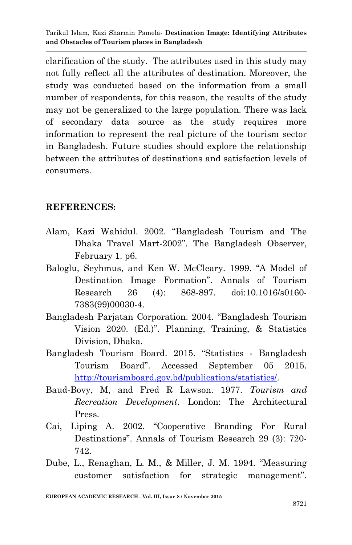clarification of the study. The attributes used in this study may not fully reflect all the attributes of destination. Moreover, the study was conducted based on the information from a small number of respondents, for this reason, the results of the study may not be generalized to the large population. There was lack of secondary data source as the study requires more information to represent the real picture of the tourism sector in Bangladesh. Future studies should explore the relationship between the attributes of destinations and satisfaction levels of consumers.

#### **REFERENCES:**

- Alam, Kazi Wahidul. 2002. "Bangladesh Tourism and The Dhaka Travel Mart-2002". The Bangladesh Observer, February 1. p6.
- Baloglu, Seyhmus, and Ken W. McCleary. 1999. "A Model of Destination Image Formation". Annals of Tourism Research 26 (4): 868-897. doi:10.1016/s0160- 7383(99)00030-4.
- Bangladesh Parjatan Corporation. 2004. "Bangladesh Tourism Vision 2020. (Ed.)". Planning, Training, & Statistics Division, Dhaka.
- Bangladesh Tourism Board. 2015. "Statistics Bangladesh Tourism Board". Accessed September 05 2015. [http://tourismboard.gov.bd/publications/statistics/.](http://tourismboard.gov.bd/publications/statistics/)
- Baud-Bovy, M, and Fred R Lawson. 1977. *Tourism and Recreation Development*. London: The Architectural Press.
- Cai, Liping A. 2002. "Cooperative Branding For Rural Destinations". Annals of Tourism Research 29 (3): 720- 742.
- Dube, L., Renaghan, L. M., & Miller, J. M. 1994. "Measuring customer satisfaction for strategic management".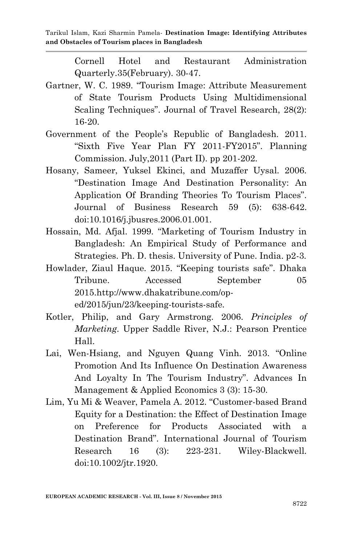Cornell Hotel and Restaurant Administration Quarterly.35(February). 30-47.

- Gartner, W. C. 1989. "Tourism Image: Attribute Measurement of State Tourism Products Using Multidimensional Scaling Techniques". Journal of Travel Research, 28(2): 16-20.
- Government of the People"s Republic of Bangladesh. 2011. "Sixth Five Year Plan FY 2011-FY2015". Planning Commission. July,2011 (Part II). pp 201-202.
- Hosany, Sameer, Yuksel Ekinci, and Muzaffer Uysal. 2006. "Destination Image And Destination Personality: An Application Of Branding Theories To Tourism Places". Journal of Business Research 59 (5): 638-642. doi:10.1016/j.jbusres.2006.01.001.
- Hossain, Md. Afjal. 1999. "Marketing of Tourism Industry in Bangladesh: An Empirical Study of Performance and Strategies. Ph. D. thesis. University of Pune. India. p2-3.
- Howlader, Ziaul Haque. 2015. "Keeping tourists safe". Dhaka Tribune. Accessed September 05 2015.http://www.dhakatribune.com/oped/2015/jun/23/keeping-tourists-safe.
- Kotler, Philip, and Gary Armstrong. 2006. *Principles of Marketing*. Upper Saddle River, N.J.: Pearson Prentice Hall.
- Lai, Wen-Hsiang, and Nguyen Quang Vinh. 2013. "Online Promotion And Its Influence On Destination Awareness And Loyalty In The Tourism Industry". Advances In Management & Applied Economics 3 (3): 15-30.
- Lim, Yu Mi & Weaver, Pamela A. 2012. "Customer-based Brand Equity for a Destination: the Effect of Destination Image on Preference for Products Associated with a Destination Brand". International Journal of Tourism Research 16 (3): 223-231. Wiley-Blackwell. doi:10.1002/jtr.1920.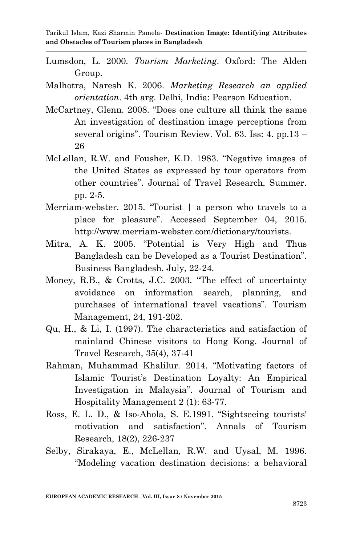- Lumsdon, L. 2000. *Tourism Marketing*. Oxford: The Alden Group.
- Malhotra, Naresh K. 2006. *Marketing Research an applied orientation*. 4th arg. Delhi, India: Pearson Education.
- McCartney, Glenn. 2008. "Does one culture all think the same An investigation of destination image perceptions from several origins". Tourism Review. Vol. 63. Iss: 4. pp.13 – 26
- McLellan, R.W. and Fousher, K.D. 1983. "Negative images of the United States as expressed by tour operators from other countries". Journal of Travel Research, Summer. pp. 2-5.
- Merriam-webster. 2015. "Tourist | a person who travels to a place for pleasure". Accessed September 04, 2015. http://www.merriam-webster.com/dictionary/tourists.
- Mitra, A. K. 2005. "Potential is Very High and Thus Bangladesh can be Developed as a Tourist Destination". Business Bangladesh. July, 22-24.
- Money, R.B., & Crotts, J.C. 2003. "The effect of uncertainty avoidance on information search, planning, and purchases of international travel vacations". Tourism Management, 24, 191-202.
- Qu, H., & Li, I. (1997). The characteristics and satisfaction of mainland Chinese visitors to Hong Kong. Journal of Travel Research, 35(4), 37-41
- Rahman, Muhammad Khalilur. 2014. "Motivating factors of Islamic Tourist's Destination Loyalty: An Empirical Investigation in Malaysia". Journal of Tourism and Hospitality Management 2 (1): 63-77.
- Ross, E. L. D., & Iso-Ahola, S. E.1991. "Sightseeing tourists' motivation and satisfaction". Annals of Tourism Research, 18(2), 226-237
- Selby, Sirakaya, E., McLellan, R.W. and Uysal, M. 1996. "Modeling vacation destination decisions: a behavioral